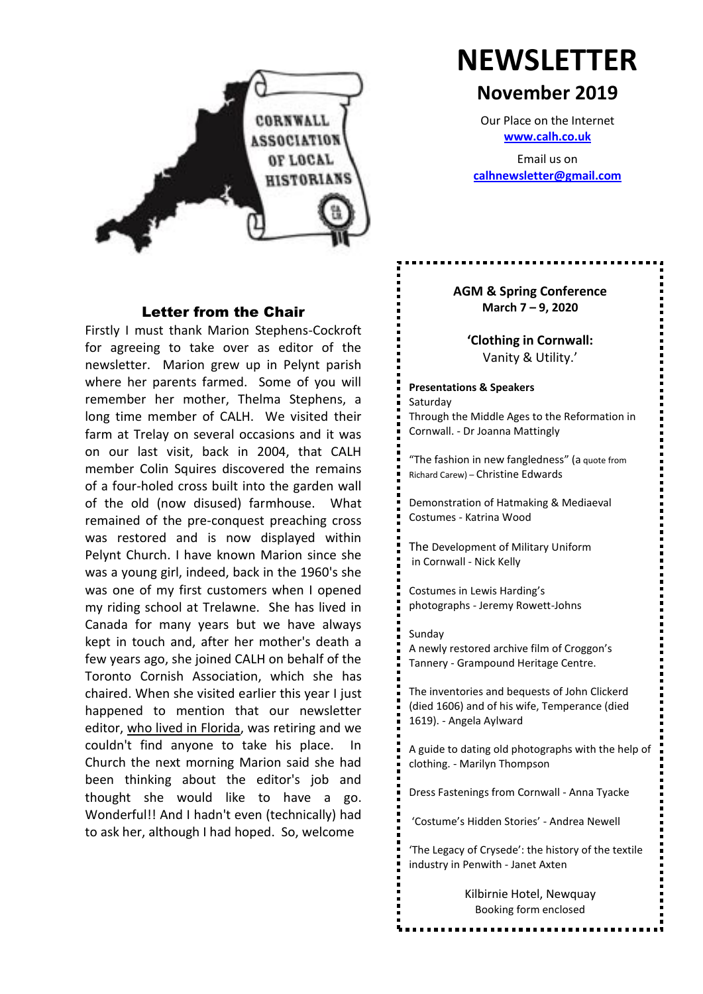

# **NEWSLETTER**

## **November 2019**

Our Place on the Internet **www.calh.co.uk**

Email us on **calhnewsletter@gmail.com**

#### Letter from the Chair

Firstly I must thank Marion Stephens-Cockroft for agreeing to take over as editor of the newsletter. Marion grew up in Pelynt parish where her parents farmed. Some of you will remember her mother, Thelma Stephens, a long time member of CALH. We visited their farm at Trelay on several occasions and it was on our last visit, back in 2004, that CALH member Colin Squires discovered the remains of a four-holed cross built into the garden wall of the old (now disused) farmhouse. What remained of the pre-conquest preaching cross was restored and is now displayed within Pelynt Church. I have known Marion since she was a young girl, indeed, back in the 1960's she was one of my first customers when I opened my riding school at Trelawne. She has lived in Canada for many years but we have always kept in touch and, after her mother's death a few years ago, she joined CALH on behalf of the Toronto Cornish Association, which she has chaired. When she visited earlier this year I just happened to mention that our newsletter editor, who lived in Florida, was retiring and we couldn't find anyone to take his place. In Church the next morning Marion said she had been thinking about the editor's job and thought she would like to have a go. Wonderful!! And I hadn't even (technically) had to ask her, although I had hoped. So, welcome

#### **AGM & Spring Conference March 7 – 9, 2020**

**'Clothing in Cornwall:** Vanity & Utility.'

**Presentations & Speakers** Saturday Through the Middle Ages to the Reformation in Cornwall. - Dr Joanna Mattingly

"The fashion in new fangledness" (a quote from Richard Carew) – Christine Edwards

Demonstration of Hatmaking & Mediaeval Costumes - Katrina Wood

The Development of Military Uniform in Cornwall - Nick Kelly

Costumes in Lewis Harding's photographs - Jeremy Rowett-Johns

#### Sunday

A newly restored archive film of Croggon's Tannery - Grampound Heritage Centre.

The inventories and bequests of John Clickerd (died 1606) and of his wife, Temperance (died 1619). - Angela Aylward

A guide to dating old photographs with the help of clothing. - Marilyn Thompson

Dress Fastenings from Cornwall - Anna Tyacke

'Costume's Hidden Stories' - Andrea Newell

'The Legacy of Crysede': the history of the textile industry in Penwith - Janet Axten

> Kilbirnie Hotel, Newquay Booking form enclosed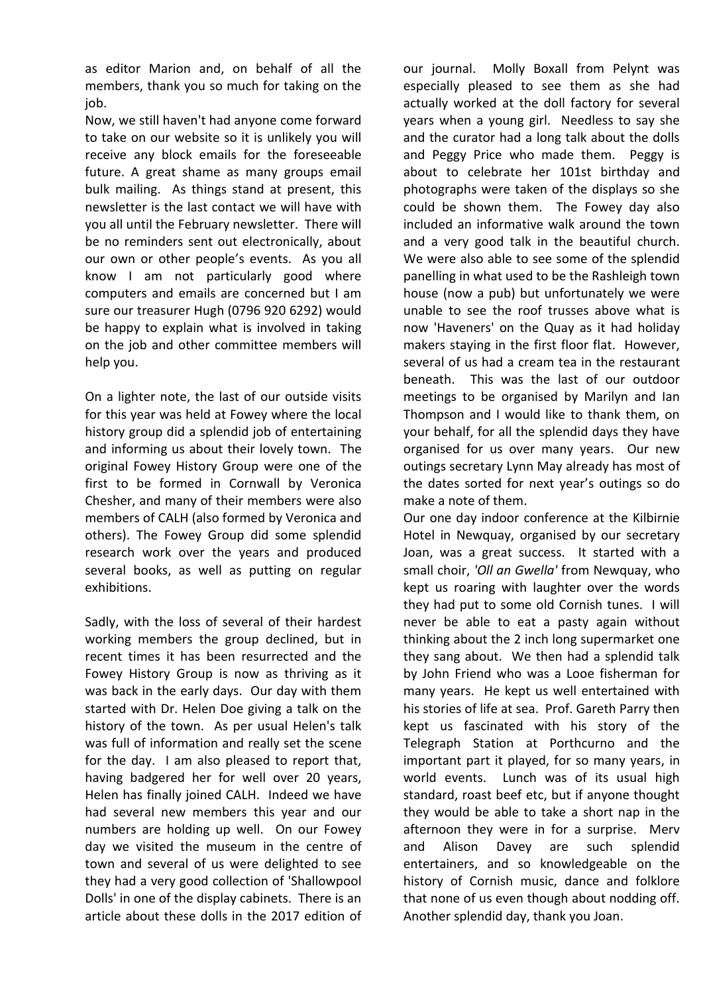as editor Marion and, on behalf of all the members, thank you so much for taking on the job.

Now, we still haven't had anyone come forward to take on our website so it is unlikely you will receive any block emails for the foreseeable future. A great shame as many groups email bulk mailing. As things stand at present, this newsletter is the last contact we will have with you all until the February newsletter. There will be no reminders sent out electronically, about our own or other people's events. As you all know I am not particularly good where computers and emails are concerned but I am sure our treasurer Hugh (0796 920 6292) would be happy to explain what is involved in taking on the job and other committee members will help you.

On a lighter note, the last of our outside visits for this year was held at Fowey where the local history group did a splendid job of entertaining and informing us about their lovely town. The original Fowey History Group were one of the first to be formed in Cornwall by Veronica Chesher, and many of their members were also members of CALH (also formed by Veronica and others). The Fowey Group did some splendid research work over the years and produced several books, as well as putting on regular exhibitions.

Sadly, with the loss of several of their hardest working members the group declined, but in recent times it has been resurrected and the Fowey History Group is now as thriving as it was back in the early days. Our day with them started with Dr. Helen Doe giving a talk on the history of the town. As per usual Helen's talk was full of information and really set the scene for the day. I am also pleased to report that, having badgered her for well over 20 years, Helen has finally joined CALH. Indeed we have had several new members this year and our numbers are holding up well. On our Fowey day we visited the museum in the centre of town and several of us were delighted to see they had a very good collection of 'Shallowpool Dolls' in one of the display cabinets. There is an article about these dolls in the 2017 edition of

our journal. Molly Boxall from Pelynt was especially pleased to see them as she had actually worked at the doll factory for several years when a young girl. Needless to say she and the curator had a long talk about the dolls and Peggy Price who made them. Peggy is about to celebrate her 101st birthday and photographs were taken of the displays so she could be shown them. The Fowey day also included an informative walk around the town and a very good talk in the beautiful church. We were also able to see some of the splendid panelling in what used to be the Rashleigh town house (now a pub) but unfortunately we were unable to see the roof trusses above what is now 'Haveners' on the Quay as it had holiday makers staying in the first floor flat. However, several of us had a cream tea in the restaurant beneath. This was the last of our outdoor meetings to be organised by Marilyn and Ian Thompson and I would like to thank them, on your behalf, for all the splendid days they have organised for us over many years. Our new outings secretary Lynn May already has most of the dates sorted for next year's outings so do make a note of them.

Our one day indoor conference at the Kilbirnie Hotel in Newquay, organised by our secretary Joan, was a great success. It started with a small choir, *'Oll an Gwella'* from Newquay, who kept us roaring with laughter over the words they had put to some old Cornish tunes. I will never be able to eat a pasty again without thinking about the 2 inch long supermarket one they sang about. We then had a splendid talk by John Friend who was a Looe fisherman for many years. He kept us well entertained with his stories of life at sea. Prof. Gareth Parry then kept us fascinated with his story of the Telegraph Station at Porthcurno and the important part it played, for so many years, in world events. Lunch was of its usual high standard, roast beef etc, but if anyone thought they would be able to take a short nap in the afternoon they were in for a surprise. Merv and Alison Davey are such splendid entertainers, and so knowledgeable on the history of Cornish music, dance and folklore that none of us even though about nodding off. Another splendid day, thank you Joan.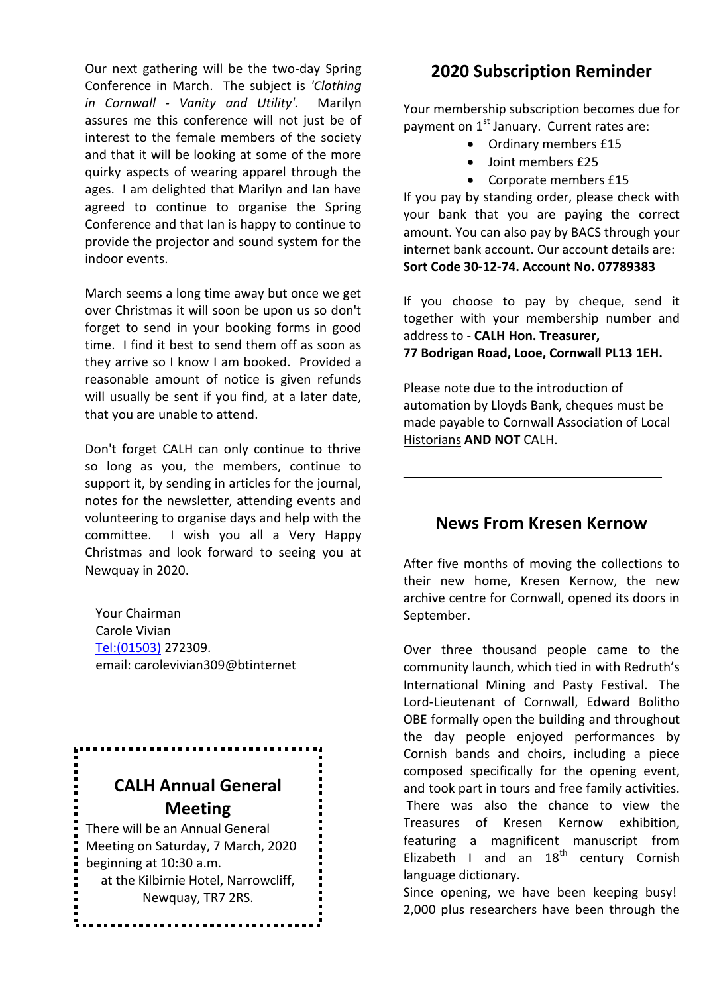Our next gathering will be the two-day Spring Conference in March. The subject is *'Clothing in Cornwall - Vanity and Utility'.* Marilyn assures me this conference will not just be of interest to the female members of the society and that it will be looking at some of the more quirky aspects of wearing apparel through the ages. I am delighted that Marilyn and Ian have agreed to continue to organise the Spring Conference and that Ian is happy to continue to provide the projector and sound system for the indoor events.

March seems a long time away but once we get over Christmas it will soon be upon us so don't forget to send in your booking forms in good time. I find it best to send them off as soon as they arrive so I know I am booked. Provided a reasonable amount of notice is given refunds will usually be sent if you find, at a later date, that you are unable to attend.

Don't forget CALH can only continue to thrive so long as you, the members, continue to support it, by sending in articles for the journal, notes for the newsletter, attending events and volunteering to organise days and help with the committee. I wish you all a Very Happy Christmas and look forward to seeing you at Newquay in 2020.

Your Chairman Carole Vivian Tel:(01503) 272309. email: carolevivian309@btinternet

# **CALH Annual General Meeting**

.............

There will be an Annual General Meeting on Saturday, 7 March, 2020 beginning at 10:30 a.m. at the Kilbirnie Hotel, Narrowcliff, Newquay, TR7 2RS.

## **2020 Subscription Reminder**

Your membership subscription becomes due for payment on  $1<sup>st</sup>$  January. Current rates are:

- Ordinary members £15
- Joint members £25
- Corporate members £15

If you pay by standing order, please check with your bank that you are paying the correct amount. You can also pay by BACS through your internet bank account. Our account details are: **Sort Code 30-12-74. Account No. 07789383**

If you choose to pay by cheque, send it together with your membership number and address to - **CALH Hon. Treasurer, 77 Bodrigan Road, Looe, Cornwall PL13 1EH.**

Please note due to the introduction of automation by Lloyds Bank, cheques must be made payable to Cornwall Association of Local Historians **AND NOT** CALH.

\_\_\_\_\_\_\_\_\_\_\_\_\_\_\_\_\_\_\_\_\_\_\_\_\_\_\_\_\_\_\_\_\_\_\_\_\_\_\_\_

### **News From Kresen Kernow**

After five months of moving the collections to their new home, Kresen Kernow, the new archive centre for Cornwall, opened its doors in September.

Over three thousand people came to the community launch, which tied in with Redruth's International Mining and Pasty Festival. The Lord-Lieutenant of Cornwall, Edward Bolitho OBE formally open the building and throughout the day people enjoyed performances by Cornish bands and choirs, including a piece composed specifically for the opening event, and took part in tours and free family activities. There was also the chance to view the Treasures of Kresen Kernow exhibition, featuring a magnificent manuscript from Elizabeth I and an  $18<sup>th</sup>$  century Cornish language dictionary.

Since opening, we have been keeping busy! 2,000 plus researchers have been through the